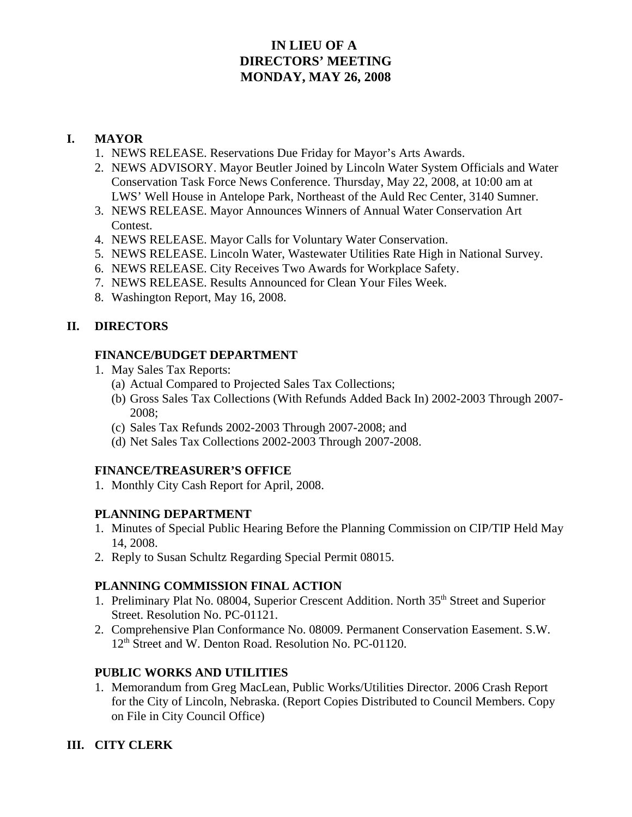# **IN LIEU OF A DIRECTORS' MEETING MONDAY, MAY 26, 2008**

## **I. MAYOR**

- 1. NEWS RELEASE. Reservations Due Friday for Mayor's Arts Awards.
- 2. NEWS ADVISORY. Mayor Beutler Joined by Lincoln Water System Officials and Water Conservation Task Force News Conference. Thursday, May 22, 2008, at 10:00 am at LWS' Well House in Antelope Park, Northeast of the Auld Rec Center, 3140 Sumner.
- 3. NEWS RELEASE. Mayor Announces Winners of Annual Water Conservation Art Contest.
- 4. NEWS RELEASE. Mayor Calls for Voluntary Water Conservation.
- 5. NEWS RELEASE. Lincoln Water, Wastewater Utilities Rate High in National Survey.
- 6. NEWS RELEASE. City Receives Two Awards for Workplace Safety.
- 7. NEWS RELEASE. Results Announced for Clean Your Files Week.
- 8. Washington Report, May 16, 2008.

### **II. DIRECTORS**

#### **FINANCE/BUDGET DEPARTMENT**

- 1. May Sales Tax Reports:
	- (a) Actual Compared to Projected Sales Tax Collections;
	- (b) Gross Sales Tax Collections (With Refunds Added Back In) 2002-2003 Through 2007- 2008;
	- (c) Sales Tax Refunds 2002-2003 Through 2007-2008; and
	- (d) Net Sales Tax Collections 2002-2003 Through 2007-2008.

#### **FINANCE/TREASURER'S OFFICE**

1. Monthly City Cash Report for April, 2008.

#### **PLANNING DEPARTMENT**

- 1. Minutes of Special Public Hearing Before the Planning Commission on CIP/TIP Held May 14, 2008.
- 2. Reply to Susan Schultz Regarding Special Permit 08015.

#### **PLANNING COMMISSION FINAL ACTION**

- 1. Preliminary Plat No. 08004, Superior Crescent Addition. North 35<sup>th</sup> Street and Superior Street. Resolution No. PC-01121.
- 2. Comprehensive Plan Conformance No. 08009. Permanent Conservation Easement. S.W. 12<sup>th</sup> Street and W. Denton Road. Resolution No. PC-01120.

#### **PUBLIC WORKS AND UTILITIES**

1. Memorandum from Greg MacLean, Public Works/Utilities Director. 2006 Crash Report for the City of Lincoln, Nebraska. (Report Copies Distributed to Council Members. Copy on File in City Council Office)

#### **III. CITY CLERK**